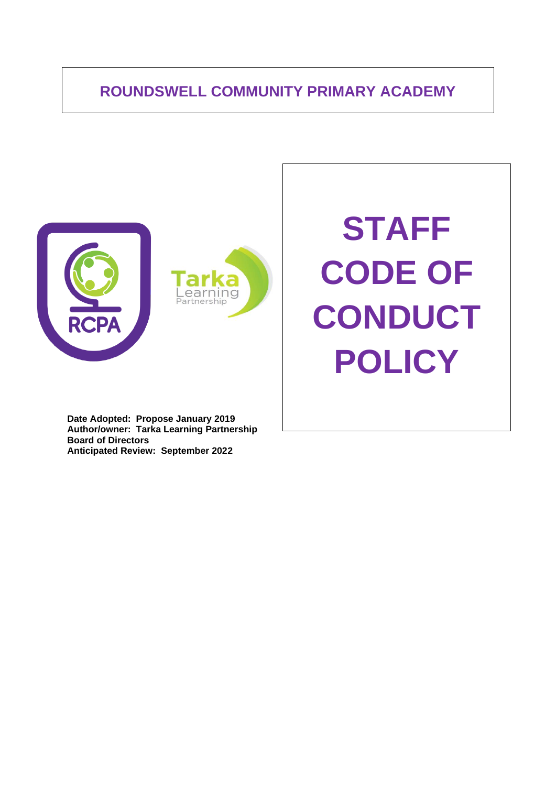# **ROUNDSWELL COMMUNITY PRIMARY ACADEMY**





**STAFF CODE OF CONDUCT POLICY**

**Date Adopted: Propose January 2019 Author/owner: Tarka Learning Partnership Board of Directors Anticipated Review: September 2022**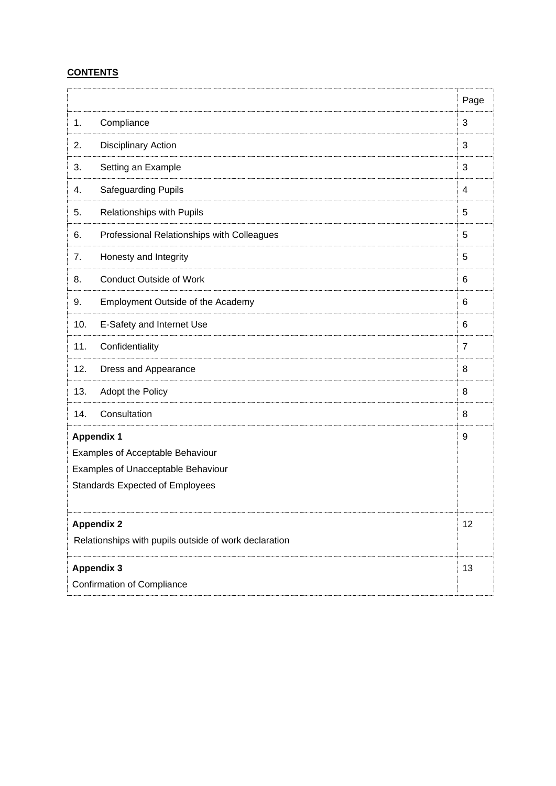# **CONTENTS**

|                                                       |                                            | Page           |  |
|-------------------------------------------------------|--------------------------------------------|----------------|--|
| 1.                                                    | Compliance                                 | 3              |  |
| 2.                                                    | <b>Disciplinary Action</b>                 | 3              |  |
| 3.                                                    | Setting an Example                         | 3              |  |
| 4.                                                    | Safeguarding Pupils                        | 4              |  |
| 5.                                                    | Relationships with Pupils                  | 5              |  |
| 6.                                                    | Professional Relationships with Colleagues | 5              |  |
| 7.                                                    | Honesty and Integrity                      | 5              |  |
| 8.                                                    | <b>Conduct Outside of Work</b>             | 6              |  |
| 9.                                                    | Employment Outside of the Academy          | 6              |  |
| 10.                                                   | E-Safety and Internet Use                  | 6              |  |
| 11.                                                   | Confidentiality                            | $\overline{7}$ |  |
| 12.                                                   | Dress and Appearance                       | 8              |  |
| 13.                                                   | Adopt the Policy                           | 8              |  |
| 14.                                                   | Consultation                               | 8              |  |
| <b>Appendix 1</b>                                     |                                            |                |  |
| Examples of Acceptable Behaviour                      |                                            |                |  |
| Examples of Unacceptable Behaviour                    |                                            |                |  |
| <b>Standards Expected of Employees</b>                |                                            |                |  |
|                                                       |                                            |                |  |
| <b>Appendix 2</b>                                     |                                            |                |  |
| Relationships with pupils outside of work declaration |                                            |                |  |
| <b>Appendix 3</b>                                     |                                            |                |  |
| <b>Confirmation of Compliance</b>                     |                                            |                |  |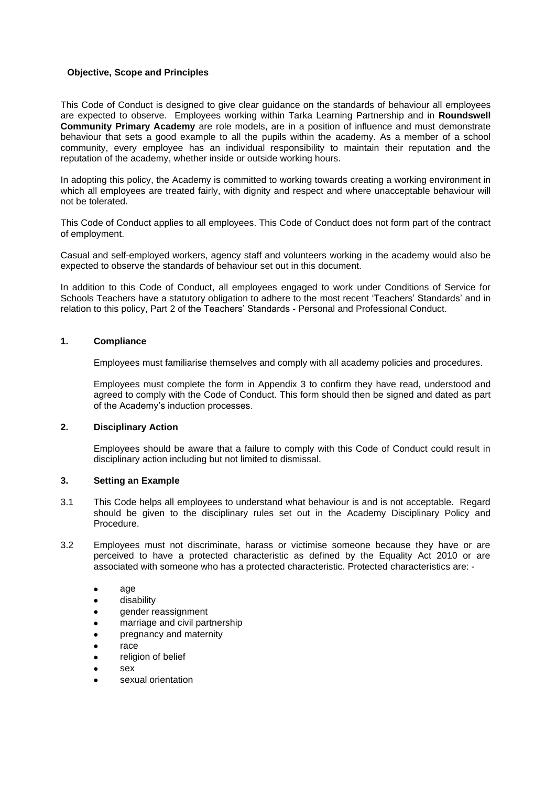## **Objective, Scope and Principles**

This Code of Conduct is designed to give clear guidance on the standards of behaviour all employees are expected to observe. Employees working within Tarka Learning Partnership and in **Roundswell Community Primary Academy** are role models, are in a position of influence and must demonstrate behaviour that sets a good example to all the pupils within the academy. As a member of a school community, every employee has an individual responsibility to maintain their reputation and the reputation of the academy, whether inside or outside working hours.

In adopting this policy, the Academy is committed to working towards creating a working environment in which all employees are treated fairly, with dignity and respect and where unacceptable behaviour will not be tolerated.

This Code of Conduct applies to all employees. This Code of Conduct does not form part of the contract of employment.

Casual and self-employed workers, agency staff and volunteers working in the academy would also be expected to observe the standards of behaviour set out in this document.

In addition to this Code of Conduct, all employees engaged to work under Conditions of Service for Schools Teachers have a statutory obligation to adhere to the most recent 'Teachers' Standards' and in relation to this policy, Part 2 of the Teachers' Standards - Personal and Professional Conduct.

#### **1. Compliance**

Employees must familiarise themselves and comply with all academy policies and procedures.

Employees must complete the form in Appendix 3 to confirm they have read, understood and agreed to comply with the Code of Conduct. This form should then be signed and dated as part of the Academy's induction processes.

#### **2. Disciplinary Action**

Employees should be aware that a failure to comply with this Code of Conduct could result in disciplinary action including but not limited to dismissal.

## **3. Setting an Example**

- 3.1 This Code helps all employees to understand what behaviour is and is not acceptable. Regard should be given to the disciplinary rules set out in the Academy Disciplinary Policy and Procedure.
- 3.2 Employees must not discriminate, harass or victimise someone because they have or are perceived to have a protected characteristic as defined by the Equality Act 2010 or are associated with someone who has a protected characteristic. Protected characteristics are: -
	- age
	- disability
	- gender reassignment
	- marriage and civil partnership
	- pregnancy and maternity
	- race
	- religion of belief
	- sex
	- sexual orientation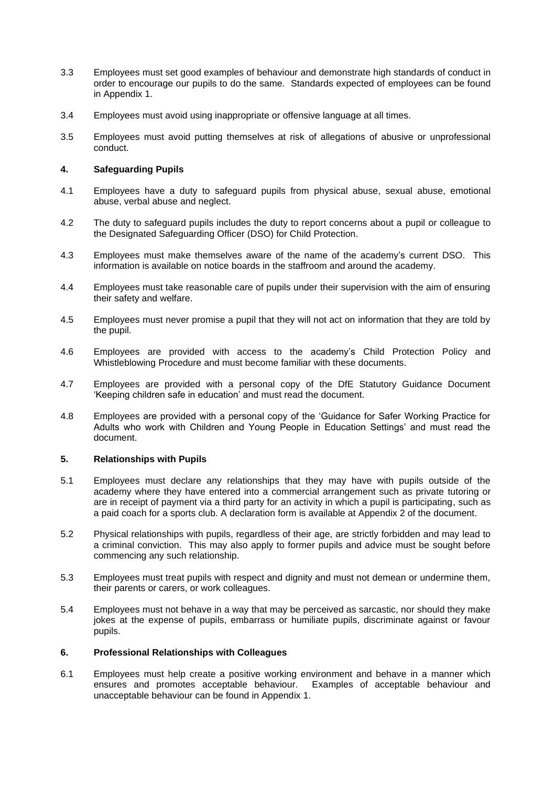- 3.3 Employees must set good examples of behaviour and demonstrate high standards of conduct in order to encourage our pupils to do the same. Standards expected of employees can be found in Appendix 1.
- 3.4 Employees must avoid using inappropriate or offensive language at all times.
- 3.5 Employees must avoid putting themselves at risk of allegations of abusive or unprofessional conduct.

## **4. Safeguarding Pupils**

- 4.1 Employees have a duty to safeguard pupils from physical abuse, sexual abuse, emotional abuse, verbal abuse and neglect.
- 4.2 The duty to safeguard pupils includes the duty to report concerns about a pupil or colleague to the Designated Safeguarding Officer (DSO) for Child Protection.
- 4.3 Employees must make themselves aware of the name of the academy's current DSO. This information is available on notice boards in the staffroom and around the academy.
- 4.4 Employees must take reasonable care of pupils under their supervision with the aim of ensuring their safety and welfare.
- 4.5 Employees must never promise a pupil that they will not act on information that they are told by the pupil.
- 4.6 Employees are provided with access to the academy's Child Protection Policy and Whistleblowing Procedure and must become familiar with these documents.
- 4.7 Employees are provided with a personal copy of the DfE Statutory Guidance Document 'Keeping children safe in education' and must read the document.
- 4.8 Employees are provided with a personal copy of the 'Guidance for Safer Working Practice for Adults who work with Children and Young People in Education Settings' and must read the document.

#### **5. Relationships with Pupils**

- 5.1 Employees must declare any relationships that they may have with pupils outside of the academy where they have entered into a commercial arrangement such as private tutoring or are in receipt of payment via a third party for an activity in which a pupil is participating, such as a paid coach for a sports club. A declaration form is available at Appendix 2 of the document.
- 5.2 Physical relationships with pupils, regardless of their age, are strictly forbidden and may lead to a criminal conviction. This may also apply to former pupils and advice must be sought before commencing any such relationship.
- 5.3 Employees must treat pupils with respect and dignity and must not demean or undermine them, their parents or carers, or work colleagues.
- 5.4 Employees must not behave in a way that may be perceived as sarcastic, nor should they make jokes at the expense of pupils, embarrass or humiliate pupils, discriminate against or favour pupils.

#### **6. Professional Relationships with Colleagues**

6.1 Employees must help create a positive working environment and behave in a manner which ensures and promotes acceptable behaviour. Examples of acceptable behaviour and unacceptable behaviour can be found in Appendix 1.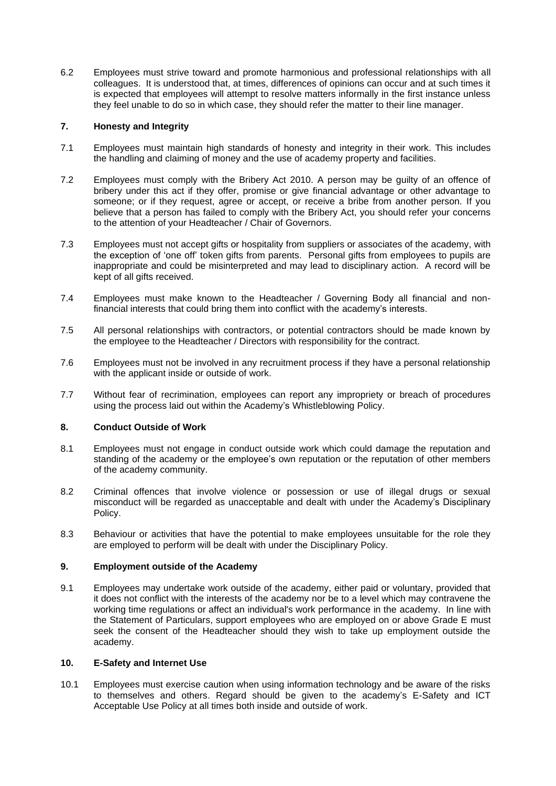6.2 Employees must strive toward and promote harmonious and professional relationships with all colleagues. It is understood that, at times, differences of opinions can occur and at such times it is expected that employees will attempt to resolve matters informally in the first instance unless they feel unable to do so in which case, they should refer the matter to their line manager.

## **7. Honesty and Integrity**

- 7.1 Employees must maintain high standards of honesty and integrity in their work. This includes the handling and claiming of money and the use of academy property and facilities.
- 7.2 Employees must comply with the Bribery Act 2010. A person may be guilty of an offence of bribery under this act if they offer, promise or give financial advantage or other advantage to someone; or if they request, agree or accept, or receive a bribe from another person. If you believe that a person has failed to comply with the Bribery Act, you should refer your concerns to the attention of your Headteacher / Chair of Governors.
- 7.3 Employees must not accept gifts or hospitality from suppliers or associates of the academy, with the exception of 'one off' token gifts from parents. Personal gifts from employees to pupils are inappropriate and could be misinterpreted and may lead to disciplinary action. A record will be kept of all gifts received.
- 7.4 Employees must make known to the Headteacher / Governing Body all financial and nonfinancial interests that could bring them into conflict with the academy's interests.
- 7.5 All personal relationships with contractors, or potential contractors should be made known by the employee to the Headteacher / Directors with responsibility for the contract.
- 7.6 Employees must not be involved in any recruitment process if they have a personal relationship with the applicant inside or outside of work.
- 7.7 Without fear of recrimination, employees can report any impropriety or breach of procedures using the process laid out within the Academy's Whistleblowing Policy.

#### **8. Conduct Outside of Work**

- 8.1 Employees must not engage in conduct outside work which could damage the reputation and standing of the academy or the employee's own reputation or the reputation of other members of the academy community.
- 8.2 Criminal offences that involve violence or possession or use of illegal drugs or sexual misconduct will be regarded as unacceptable and dealt with under the Academy's Disciplinary Policy.
- 8.3 Behaviour or activities that have the potential to make employees unsuitable for the role they are employed to perform will be dealt with under the Disciplinary Policy.

## **9. Employment outside of the Academy**

9.1 Employees may undertake work outside of the academy, either paid or voluntary, provided that it does not conflict with the interests of the academy nor be to a level which may contravene the working time regulations or affect an individual's work performance in the academy. In line with the Statement of Particulars, support employees who are employed on or above Grade E must seek the consent of the Headteacher should they wish to take up employment outside the academy.

#### **10. E-Safety and Internet Use**

10.1 Employees must exercise caution when using information technology and be aware of the risks to themselves and others. Regard should be given to the academy's E-Safety and ICT Acceptable Use Policy at all times both inside and outside of work.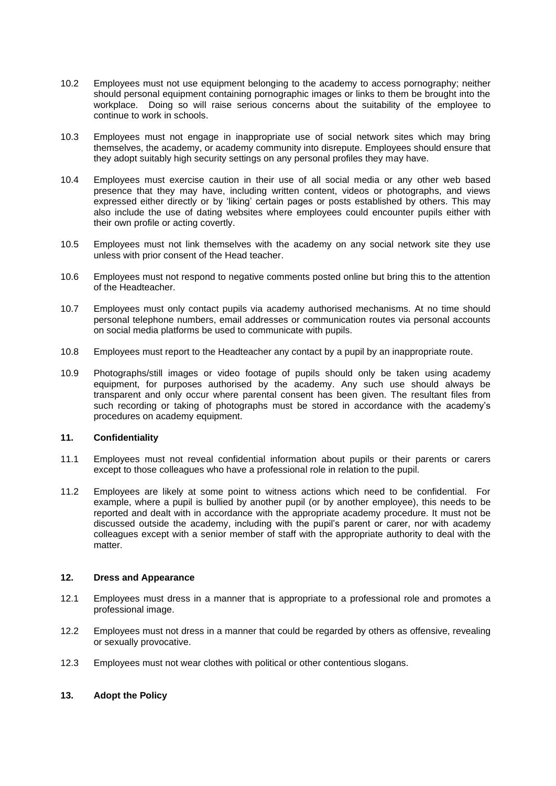- 10.2 Employees must not use equipment belonging to the academy to access pornography; neither should personal equipment containing pornographic images or links to them be brought into the workplace. Doing so will raise serious concerns about the suitability of the employee to continue to work in schools.
- 10.3 Employees must not engage in inappropriate use of social network sites which may bring themselves, the academy, or academy community into disrepute. Employees should ensure that they adopt suitably high security settings on any personal profiles they may have.
- 10.4 Employees must exercise caution in their use of all social media or any other web based presence that they may have, including written content, videos or photographs, and views expressed either directly or by 'liking' certain pages or posts established by others. This may also include the use of dating websites where employees could encounter pupils either with their own profile or acting covertly.
- 10.5 Employees must not link themselves with the academy on any social network site they use unless with prior consent of the Head teacher.
- 10.6 Employees must not respond to negative comments posted online but bring this to the attention of the Headteacher.
- 10.7 Employees must only contact pupils via academy authorised mechanisms. At no time should personal telephone numbers, email addresses or communication routes via personal accounts on social media platforms be used to communicate with pupils.
- 10.8 Employees must report to the Headteacher any contact by a pupil by an inappropriate route.
- 10.9 Photographs/still images or video footage of pupils should only be taken using academy equipment, for purposes authorised by the academy. Any such use should always be transparent and only occur where parental consent has been given. The resultant files from such recording or taking of photographs must be stored in accordance with the academy's procedures on academy equipment.

#### **11. Confidentiality**

- 11.1 Employees must not reveal confidential information about pupils or their parents or carers except to those colleagues who have a professional role in relation to the pupil.
- 11.2 Employees are likely at some point to witness actions which need to be confidential. For example, where a pupil is bullied by another pupil (or by another employee), this needs to be reported and dealt with in accordance with the appropriate academy procedure. It must not be discussed outside the academy, including with the pupil's parent or carer, nor with academy colleagues except with a senior member of staff with the appropriate authority to deal with the matter.

#### **12. Dress and Appearance**

- 12.1 Employees must dress in a manner that is appropriate to a professional role and promotes a professional image.
- 12.2 Employees must not dress in a manner that could be regarded by others as offensive, revealing or sexually provocative.
- 12.3 Employees must not wear clothes with political or other contentious slogans.

#### **13. Adopt the Policy**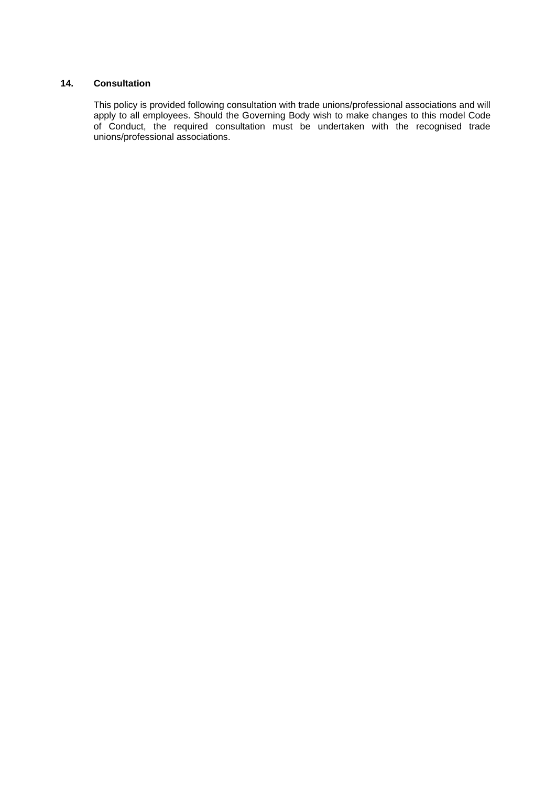## **14. Consultation**

This policy is provided following consultation with trade unions/professional associations and will apply to all employees. Should the Governing Body wish to make changes to this model Code of Conduct, the required consultation must be undertaken with the recognised trade unions/professional associations.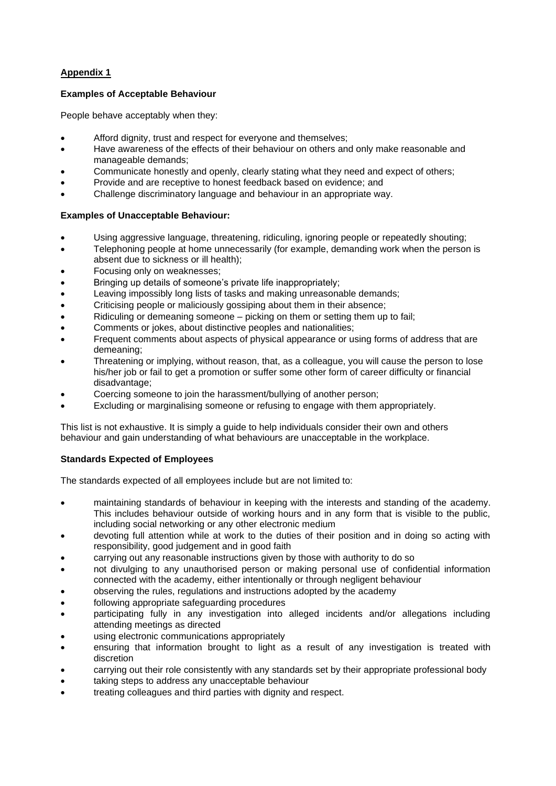## **Appendix 1**

## **Examples of Acceptable Behaviour**

People behave acceptably when they:

- Afford dignity, trust and respect for everyone and themselves;
- Have awareness of the effects of their behaviour on others and only make reasonable and manageable demands;
- Communicate honestly and openly, clearly stating what they need and expect of others;
- Provide and are receptive to honest feedback based on evidence; and
- Challenge discriminatory language and behaviour in an appropriate way.

## **Examples of Unacceptable Behaviour:**

- Using aggressive language, threatening, ridiculing, ignoring people or repeatedly shouting;
- Telephoning people at home unnecessarily (for example, demanding work when the person is absent due to sickness or ill health);
- Focusing only on weaknesses;
- Bringing up details of someone's private life inappropriately;
- Leaving impossibly long lists of tasks and making unreasonable demands;
- Criticising people or maliciously gossiping about them in their absence;
- Ridiculing or demeaning someone picking on them or setting them up to fail;
- Comments or jokes, about distinctive peoples and nationalities;
- Frequent comments about aspects of physical appearance or using forms of address that are demeaning;
- Threatening or implying, without reason, that, as a colleague, you will cause the person to lose his/her job or fail to get a promotion or suffer some other form of career difficulty or financial disadvantage;
- Coercing someone to join the harassment/bullying of another person;
- Excluding or marginalising someone or refusing to engage with them appropriately.

This list is not exhaustive. It is simply a guide to help individuals consider their own and others behaviour and gain understanding of what behaviours are unacceptable in the workplace.

## **Standards Expected of Employees**

The standards expected of all employees include but are not limited to:

- maintaining standards of behaviour in keeping with the interests and standing of the academy. This includes behaviour outside of working hours and in any form that is visible to the public, including social networking or any other electronic medium
- devoting full attention while at work to the duties of their position and in doing so acting with responsibility, good judgement and in good faith
- carrying out any reasonable instructions given by those with authority to do so
- not divulging to any unauthorised person or making personal use of confidential information connected with the academy, either intentionally or through negligent behaviour
- observing the rules, regulations and instructions adopted by the academy
- following appropriate safeguarding procedures
- participating fully in any investigation into alleged incidents and/or allegations including attending meetings as directed
- using electronic communications appropriately
- ensuring that information brought to light as a result of any investigation is treated with discretion
- carrying out their role consistently with any standards set by their appropriate professional body
- taking steps to address any unacceptable behaviour
- treating colleagues and third parties with dignity and respect.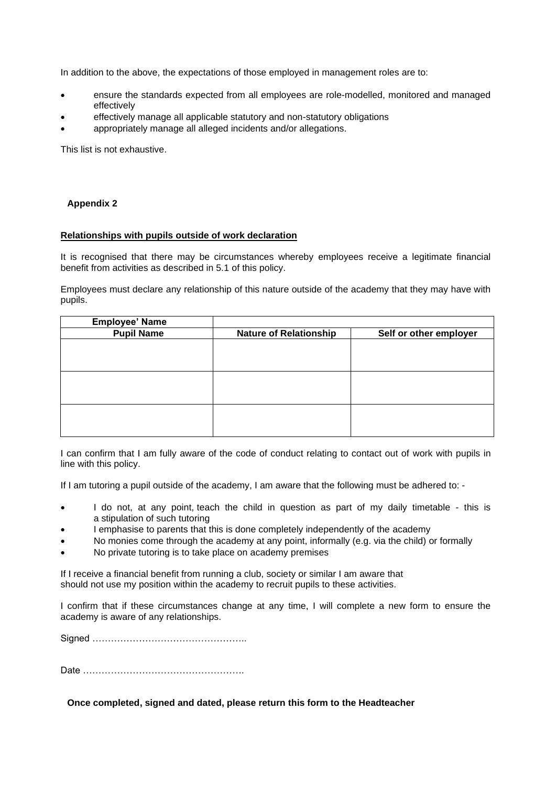In addition to the above, the expectations of those employed in management roles are to:

- ensure the standards expected from all employees are role-modelled, monitored and managed effectively
- effectively manage all applicable statutory and non-statutory obligations
- appropriately manage all alleged incidents and/or allegations.

This list is not exhaustive.

## **Appendix 2**

#### **Relationships with pupils outside of work declaration**

It is recognised that there may be circumstances whereby employees receive a legitimate financial benefit from activities as described in 5.1 of this policy.

Employees must declare any relationship of this nature outside of the academy that they may have with pupils.

| <b>Employee' Name</b> |                               |                        |
|-----------------------|-------------------------------|------------------------|
| <b>Pupil Name</b>     | <b>Nature of Relationship</b> | Self or other employer |
|                       |                               |                        |
|                       |                               |                        |
|                       |                               |                        |
|                       |                               |                        |
|                       |                               |                        |
|                       |                               |                        |
|                       |                               |                        |
|                       |                               |                        |
|                       |                               |                        |

I can confirm that I am fully aware of the code of conduct relating to contact out of work with pupils in line with this policy.

If I am tutoring a pupil outside of the academy, I am aware that the following must be adhered to: -

- I do not, at any point, teach the child in question as part of my daily timetable this is a stipulation of such tutoring
- I emphasise to parents that this is done completely independently of the academy
- No monies come through the academy at any point, informally (e.g. via the child) or formally
- No private tutoring is to take place on academy premises

If I receive a financial benefit from running a club, society or similar I am aware that should not use my position within the academy to recruit pupils to these activities.

I confirm that if these circumstances change at any time, I will complete a new form to ensure the academy is aware of any relationships.

Signed …………………………………………..

Date …………………………………………….

**Once completed, signed and dated, please return this form to the Headteacher**